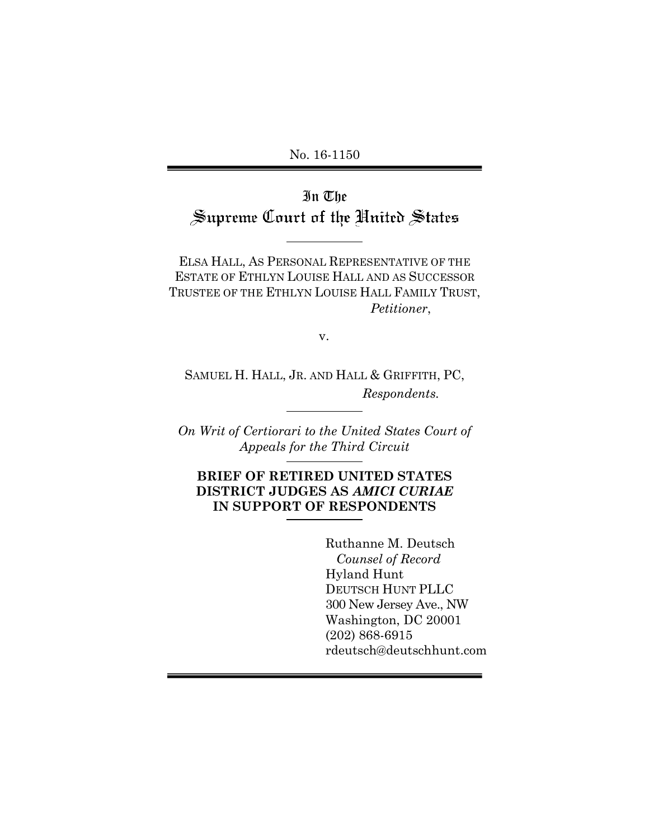No. 16-1150

In The Supreme Court of the United States

ELSA HALL, AS PERSONAL REPRESENTATIVE OF THE ESTATE OF ETHLYN LOUISE HALL AND AS SUCCESSOR TRUSTEE OF THE ETHLYN LOUISE HALL FAMILY TRUST, *Petitioner*,

v.

SAMUEL H. HALL, JR. AND HALL & GRIFFITH, PC, *Respondents.* 

*On Writ of Certiorari to the United States Court of Appeals for the Third Circuit*

**BRIEF OF RETIRED UNITED STATES DISTRICT JUDGES AS** *AMICI CURIAE* **IN SUPPORT OF RESPONDENTS**

> Ruthanne M. Deutsch *Counsel of Record* Hyland Hunt DEUTSCH HUNT PLLC 300 New Jersey Ave., NW Washington, DC 20001 (202) 868-6915 rdeutsch@deutschhunt.com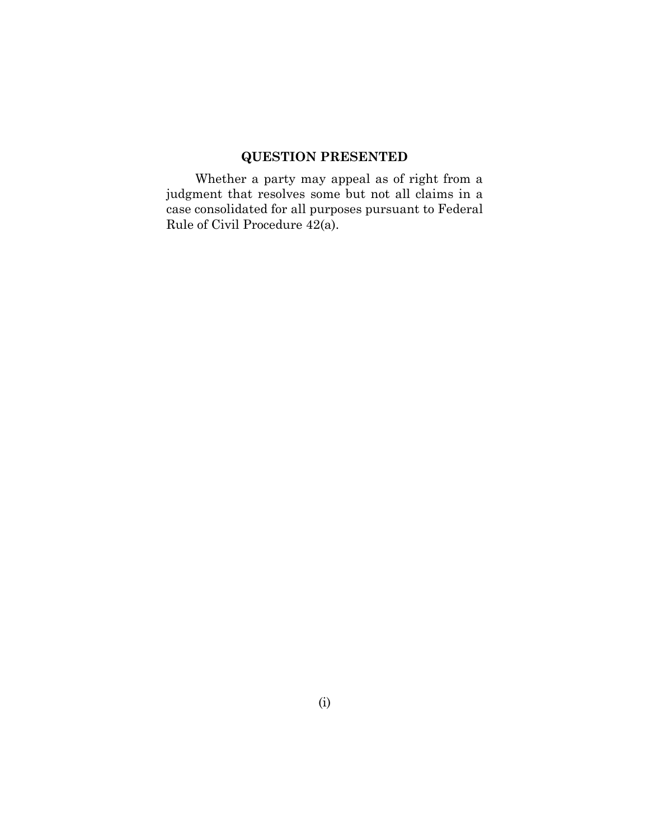# **QUESTION PRESENTED**

<span id="page-1-0"></span>Whether a party may appeal as of right from a judgment that resolves some but not all claims in a case consolidated for all purposes pursuant to Federal Rule of Civil Procedure 42(a).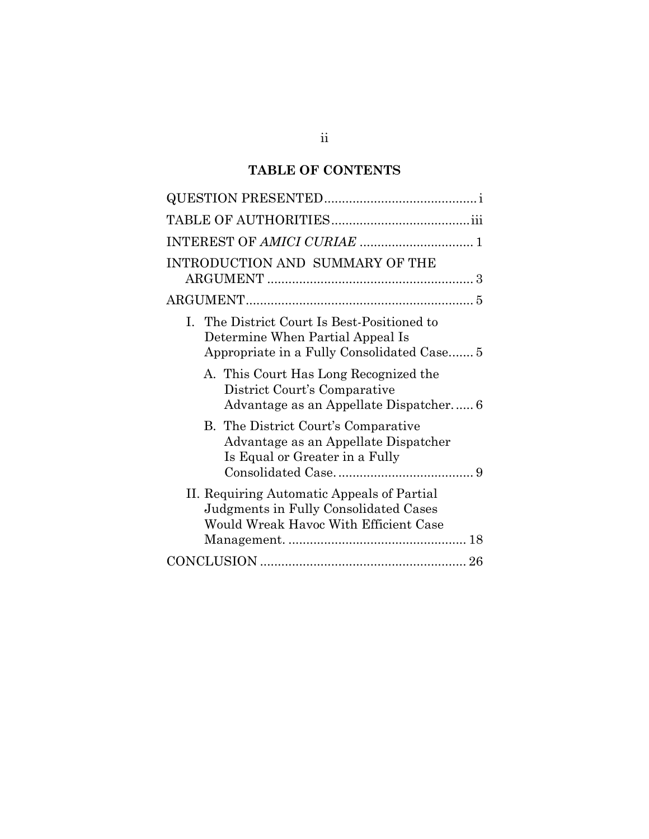# **TABLE OF CONTENTS**

| INTRODUCTION AND SUMMARY OF THE                                                                                               |
|-------------------------------------------------------------------------------------------------------------------------------|
|                                                                                                                               |
| I. The District Court Is Best-Positioned to<br>Determine When Partial Appeal Is<br>Appropriate in a Fully Consolidated Case 5 |
| A. This Court Has Long Recognized the<br>District Court's Comparative<br>Advantage as an Appellate Dispatcher 6               |
| B. The District Court's Comparative<br>Advantage as an Appellate Dispatcher<br>Is Equal or Greater in a Fully                 |
| II. Requiring Automatic Appeals of Partial<br>Judgments in Fully Consolidated Cases<br>Would Wreak Havoc With Efficient Case  |
|                                                                                                                               |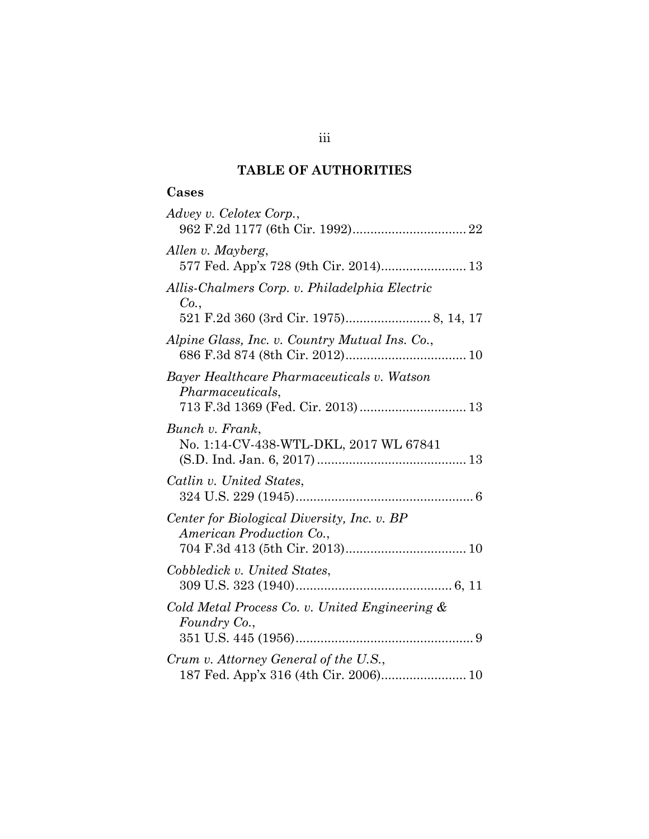# **TABLE OF AUTHORITIES**

# <span id="page-3-0"></span>**Cases**

| Advey v. Celotex Corp.,                                                                                    |
|------------------------------------------------------------------------------------------------------------|
| Allen v. Mayberg,<br>577 Fed. App'x 728 (9th Cir. 2014) 13                                                 |
| Allis-Chalmers Corp. v. Philadelphia Electric<br>Co.,                                                      |
|                                                                                                            |
| Alpine Glass, Inc. v. Country Mutual Ins. Co.,                                                             |
| Bayer Healthcare Pharmaceuticals v. Watson<br><i>Pharmaceuticals,</i><br>713 F.3d 1369 (Fed. Cir. 2013) 13 |
| Bunch v. Frank,<br>No. 1:14-CV-438-WTL-DKL, 2017 WL 67841                                                  |
| Catlin v. United States,                                                                                   |
| Center for Biological Diversity, Inc. v. BP<br>American Production Co.,                                    |
| Cobbledick v. United States,                                                                               |
| Cold Metal Process Co. v. United Engineering &<br>Foundry Co.,                                             |
| Crum v. Attorney General of the U.S.,<br>187 Fed. App'x 316 (4th Cir. 2006) 10                             |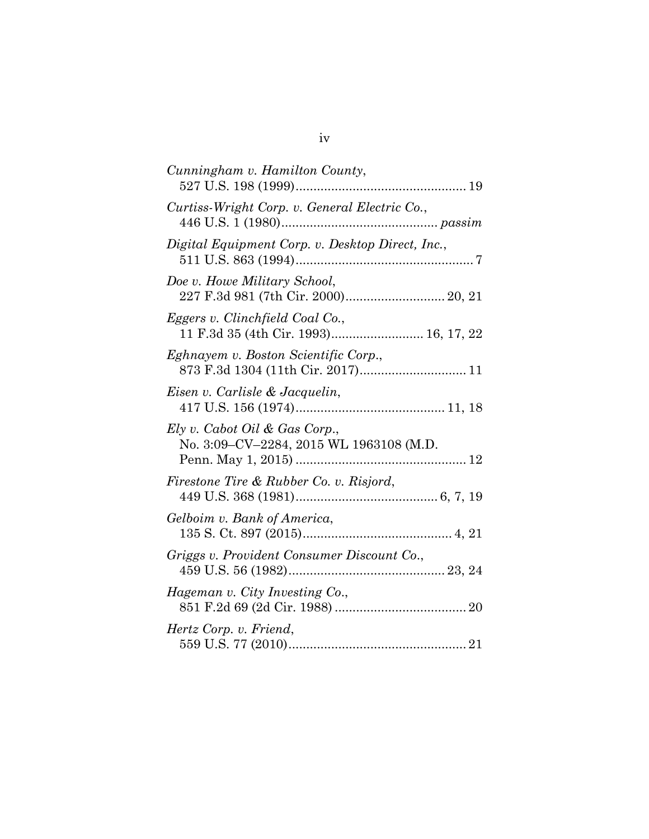| Cunningham v. Hamilton County,                                            |
|---------------------------------------------------------------------------|
| Curtiss-Wright Corp. v. General Electric Co.,                             |
| Digital Equipment Corp. v. Desktop Direct, Inc.,                          |
| Doe v. Howe Military School,<br>227 F.3d 981 (7th Cir. 2000) 20, 21       |
| Eggers v. Clinchfield Coal Co.,<br>11 F.3d 35 (4th Cir. 1993) 16, 17, 22  |
| Eghnayem v. Boston Scientific Corp.,<br>873 F.3d 1304 (11th Cir. 2017) 11 |
| Eisen v. Carlisle & Jacquelin,                                            |
| Ely v. Cabot Oil & Gas Corp.,<br>No. 3:09-CV-2284, 2015 WL 1963108 (M.D.  |
| Firestone Tire & Rubber Co. v. Risjord,                                   |
| Gelboim v. Bank of America,                                               |
| Griggs v. Provident Consumer Discount Co.,                                |
| Hageman v. City Investing Co.,                                            |
| Hertz Corp. v. Friend,                                                    |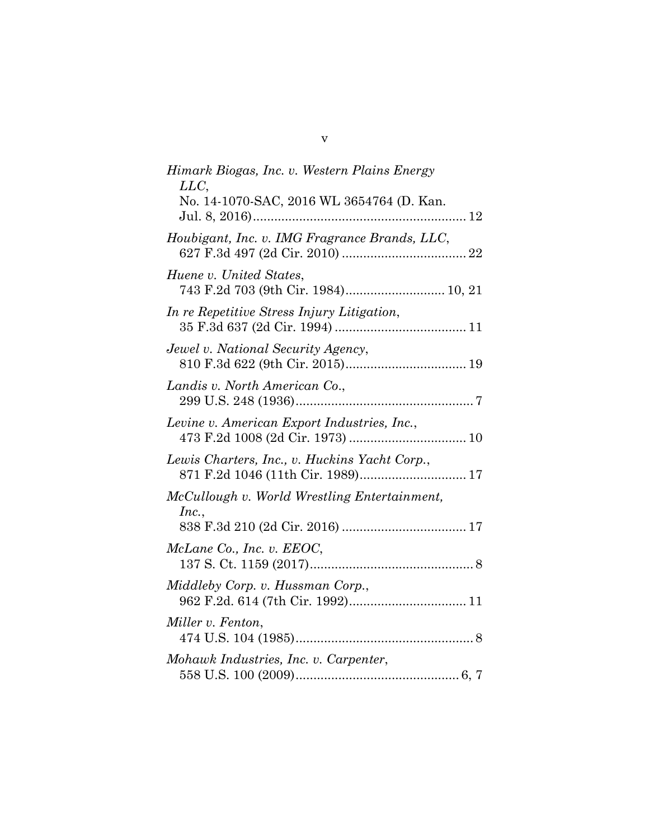| Himark Biogas, Inc. v. Western Plains Energy<br>LLC,                               |
|------------------------------------------------------------------------------------|
| No. 14-1070-SAC, 2016 WL 3654764 (D. Kan.                                          |
| Houbigant, Inc. v. IMG Fragrance Brands, LLC,                                      |
| Huene v. United States,<br>743 F.2d 703 (9th Cir. 1984) 10, 21                     |
| In re Repetitive Stress Injury Litigation,                                         |
| Jewel v. National Security Agency,                                                 |
| Landis v. North American Co.,                                                      |
| Levine v. American Export Industries, Inc.,                                        |
| Lewis Charters, Inc., v. Huckins Yacht Corp.,<br>871 F.2d 1046 (11th Cir. 1989) 17 |
| McCullough v. World Wrestling Entertainment,                                       |
| Inc.,                                                                              |
| McLane Co., Inc. v. EEOC,                                                          |
| Middleby Corp. v. Hussman Corp.,                                                   |
| Miller v. Fenton,                                                                  |
| Mohawk Industries, Inc. v. Carpenter,                                              |

v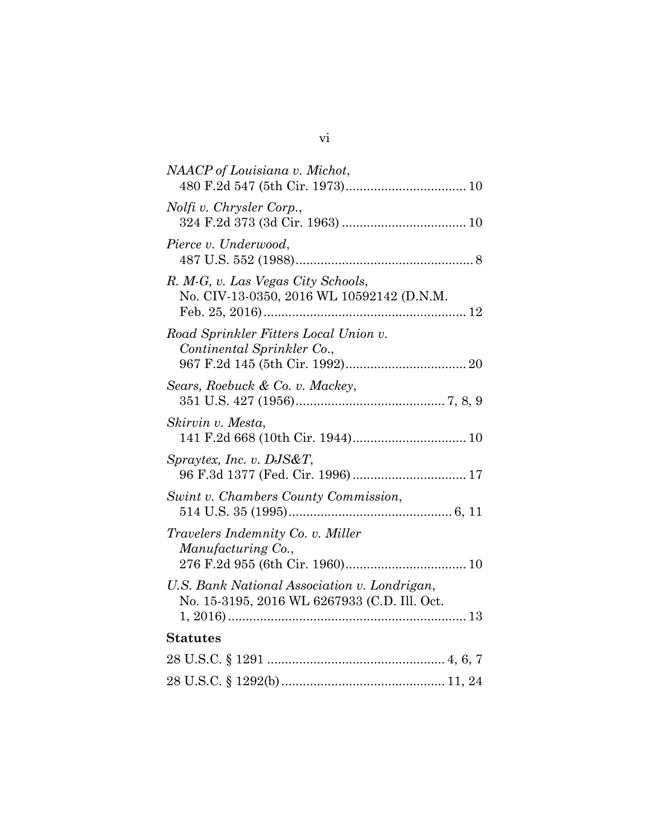| NAACP of Louisiana v. Michot,                                                                |
|----------------------------------------------------------------------------------------------|
| Nolfi v. Chrysler Corp.,                                                                     |
| Pierce v. Underwood,                                                                         |
| R. M-G, v. Las Vegas City Schools,<br>No. CIV-13-0350, 2016 WL 10592142 (D.N.M.              |
| Road Sprinkler Fitters Local Union v.<br>Continental Sprinkler Co.,                          |
| Sears, Roebuck & Co. v. Mackey,                                                              |
| Skirvin v. Mesta,                                                                            |
| Spraytex, Inc. v. DJS&T,<br>96 F.3d 1377 (Fed. Cir. 1996) 17                                 |
| Swint v. Chambers County Commission,                                                         |
| <i>Travelers Indemnity Co. v. Miller</i><br>Manufacturing Co.,                               |
| U.S. Bank National Association v. Londrigan,<br>No. 15-3195, 2016 WL 6267933 (C.D. Ill. Oct. |
| <b>Statutes</b>                                                                              |
|                                                                                              |
|                                                                                              |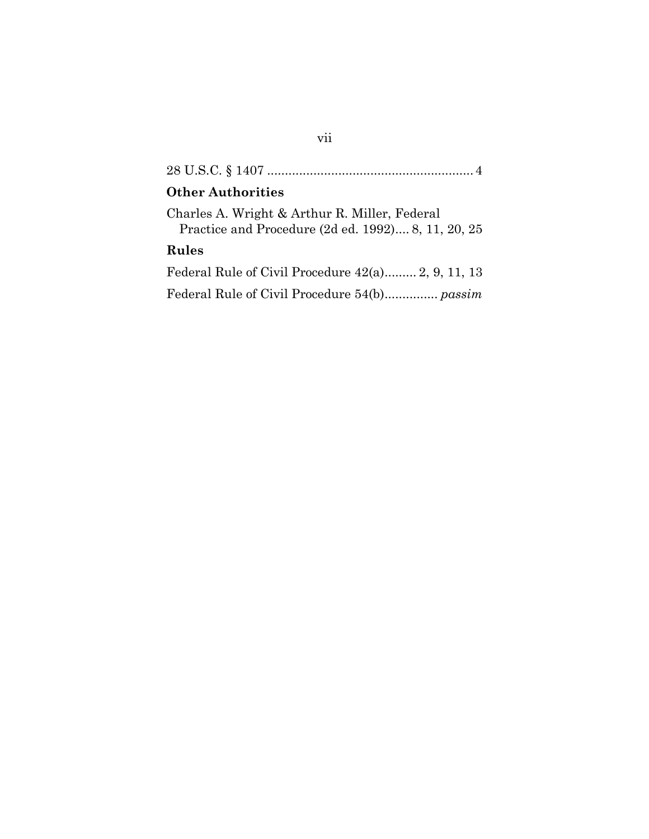| <b>Other Authorities</b>                                                                            |
|-----------------------------------------------------------------------------------------------------|
| Charles A. Wright & Arthur R. Miller, Federal<br>Practice and Procedure (2d ed. 1992) 8, 11, 20, 25 |
| Rules                                                                                               |
| Federal Rule of Civil Procedure 42(a) 2, 9, 11, 13                                                  |
|                                                                                                     |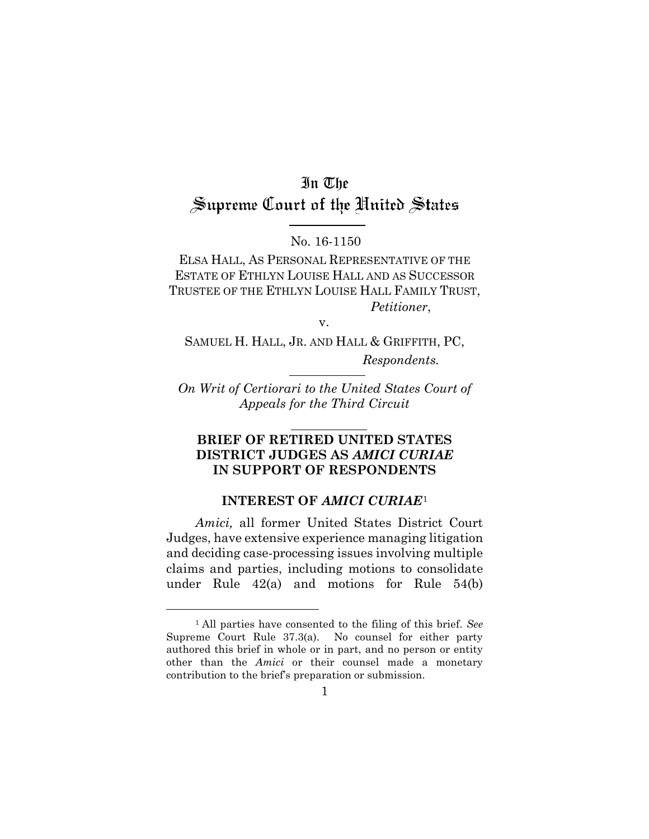# In The Supreme Court of the United States

#### No. 16-1150

ELSA HALL, AS PERSONAL REPRESENTATIVE OF THE ESTATE OF ETHLYN LOUISE HALL AND AS SUCCESSOR TRUSTEE OF THE ETHLYN LOUISE HALL FAMILY TRUST, *Petitioner*,

v.

SAMUEL H. HALL, JR. AND HALL & GRIFFITH, PC, *Respondents.*

*On Writ of Certiorari to the United States Court of Appeals for the Third Circuit*

#### **BRIEF OF RETIRED UNITED STATES DISTRICT JUDGES AS** *AMICI CURIAE* **IN SUPPORT OF RESPONDENTS**

#### **INTEREST OF** *AMICI CURIAE*[1](#page-8-1)

<span id="page-8-0"></span>*Amici,* all former United States District Court Judges, have extensive experience managing litigation and deciding case-processing issues involving multiple claims and parties, including motions to consolidate under Rule 42(a) and motions for Rule 54(b)

<span id="page-8-1"></span> <sup>1</sup> All parties have consented to the filing of this brief. *See* Supreme Court Rule 37.3(a). No counsel for either party authored this brief in whole or in part, and no person or entity other than the *Amici* or their counsel made a monetary contribution to the brief's preparation or submission.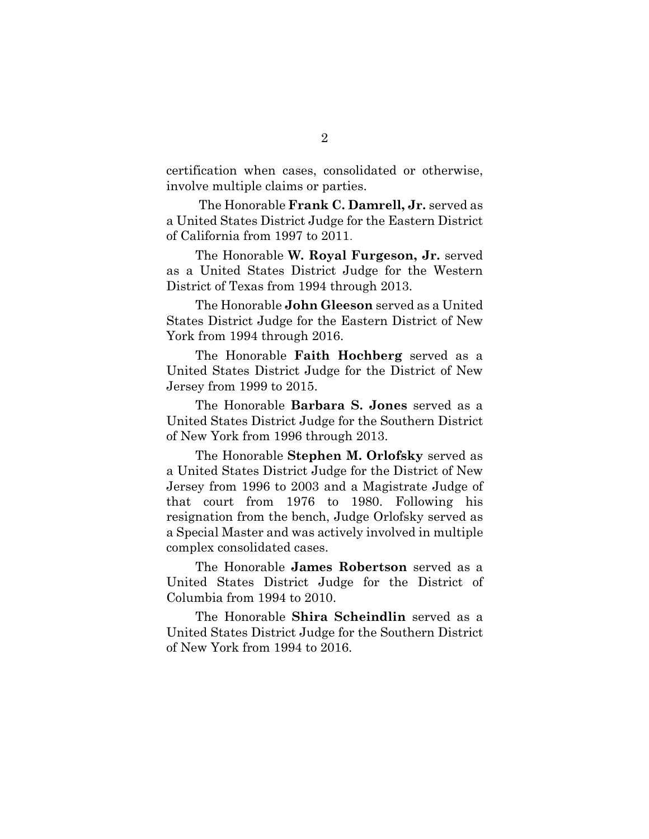certification when cases, consolidated or otherwise, involve multiple claims or parties.

The Honorable **Frank C. Damrell, Jr.** served as a United States District Judge for the Eastern District of California from 1997 to 2011.

The Honorable **W. Royal Furgeson, Jr.** served as a United States District Judge for the Western District of Texas from 1994 through 2013.

The Honorable **John Gleeson** served as a United States District Judge for the Eastern District of New York from 1994 through 2016.

The Honorable **Faith Hochberg** served as a United States District Judge for the District of New Jersey from 1999 to 2015.

The Honorable **Barbara S. Jones** served as a United States District Judge for the Southern District of New York from 1996 through 2013.

The Honorable **Stephen M. Orlofsky** served as a United States District Judge for the District of New Jersey from 1996 to 2003 and a Magistrate Judge of that court from 1976 to 1980. Following his resignation from the bench, Judge Orlofsky served as a Special Master and was actively involved in multiple complex consolidated cases.

The Honorable **James Robertson** served as a United States District Judge for the District of Columbia from 1994 to 2010.

The Honorable **Shira Scheindlin** served as a United States District Judge for the Southern District of New York from 1994 to 2016.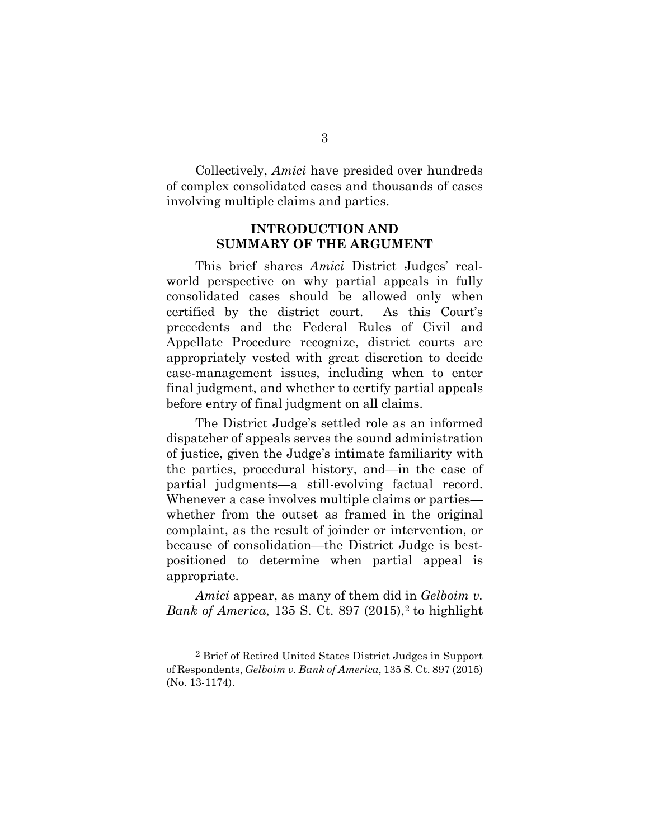Collectively, *Amici* have presided over hundreds of complex consolidated cases and thousands of cases involving multiple claims and parties.

## **INTRODUCTION AND SUMMARY OF THE ARGUMENT**

<span id="page-10-0"></span>This brief shares *Amici* District Judges' realworld perspective on why partial appeals in fully consolidated cases should be allowed only when certified by the district court. As this Court's precedents and the Federal Rules of Civil and Appellate Procedure recognize, district courts are appropriately vested with great discretion to decide case-management issues, including when to enter final judgment, and whether to certify partial appeals before entry of final judgment on all claims.

The District Judge's settled role as an informed dispatcher of appeals serves the sound administration of justice, given the Judge's intimate familiarity with the parties, procedural history, and—in the case of partial judgments—a still-evolving factual record. Whenever a case involves multiple claims or parties whether from the outset as framed in the original complaint, as the result of joinder or intervention, or because of consolidation—the District Judge is bestpositioned to determine when partial appeal is appropriate.

*Amici* appear, as many of them did in *Gelboim v. Bank of America*, 135 S. Ct. 897 ([2](#page-10-1)015),<sup>2</sup> to highlight

<span id="page-10-1"></span> <sup>2</sup> Brief of Retired United States District Judges in Support of Respondents, *Gelboim v. Bank of America*, 135 S. Ct. 897 (2015) (No. 13-1174).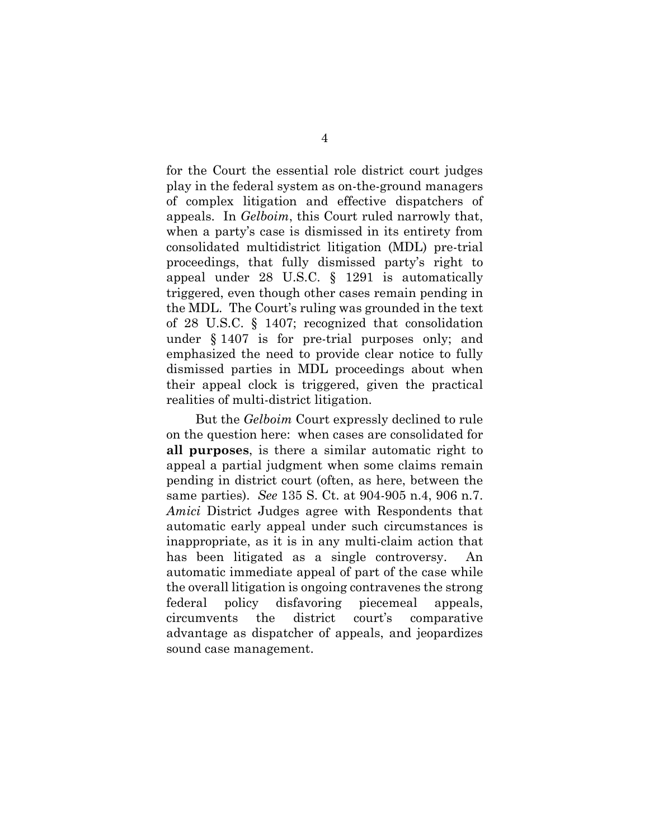for the Court the essential role district court judges play in the federal system as on-the-ground managers of complex litigation and effective dispatchers of appeals. In *Gelboim*, this Court ruled narrowly that, when a party's case is dismissed in its entirety from consolidated multidistrict litigation (MDL) pre-trial proceedings, that fully dismissed party's right to appeal under 28 U.S.C. § 1291 is automatically triggered, even though other cases remain pending in the MDL. The Court's ruling was grounded in the text of 28 U.S.C. § 1407; recognized that consolidation under § 1407 is for pre-trial purposes only; and emphasized the need to provide clear notice to fully dismissed parties in MDL proceedings about when their appeal clock is triggered, given the practical realities of multi-district litigation.

But the *Gelboim* Court expressly declined to rule on the question here: when cases are consolidated for **all purposes**, is there a similar automatic right to appeal a partial judgment when some claims remain pending in district court (often, as here, between the same parties). *See* 135 S. Ct. at 904-905 n.4, 906 n.7. *Amici* District Judges agree with Respondents that automatic early appeal under such circumstances is inappropriate, as it is in any multi-claim action that has been litigated as a single controversy. An automatic immediate appeal of part of the case while the overall litigation is ongoing contravenes the strong federal policy disfavoring piecemeal appeals, circumvents the district court's comparative advantage as dispatcher of appeals, and jeopardizes sound case management.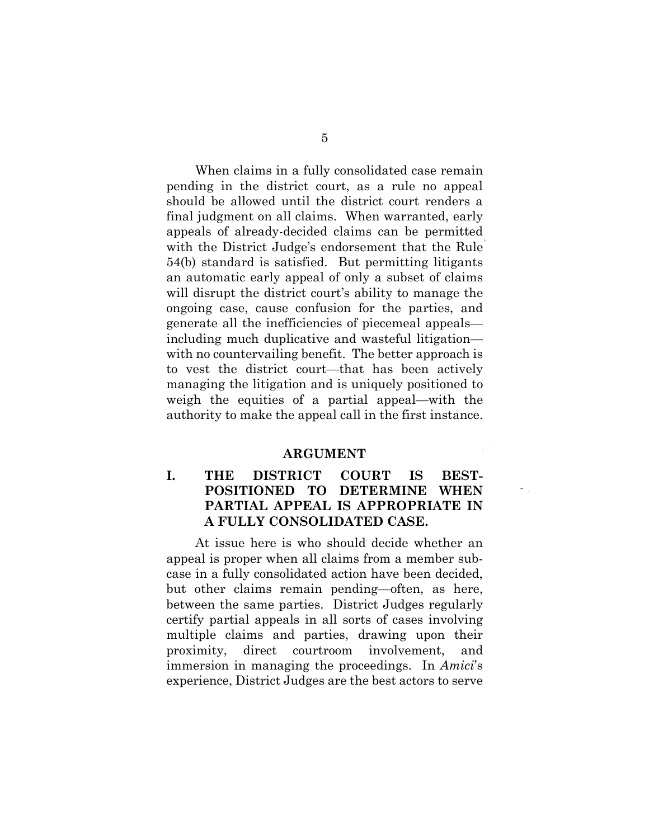When claims in a fully consolidated case remain pending in the district court, as a rule no appeal should be allowed until the district court renders a final judgment on all claims. When warranted, early appeals of already-decided claims can be permitted with the District Judge's endorsement that the Rule 54(b) standard is satisfied. But permitting litigants an automatic early appeal of only a subset of claims will disrupt the district court's ability to manage the ongoing case, cause confusion for the parties, and generate all the inefficiencies of piecemeal appeals including much duplicative and wasteful litigation with no countervailing benefit. The better approach is to vest the district court—that has been actively managing the litigation and is uniquely positioned to weigh the equities of a partial appeal—with the authority to make the appeal call in the first instance.

#### <span id="page-12-0"></span>**ARGUMENT**

## <span id="page-12-1"></span>**I. THE DISTRICT COURT IS BEST-POSITIONED TO DETERMINE WHEN PARTIAL APPEAL IS APPROPRIATE IN A FULLY CONSOLIDATED CASE.**

At issue here is who should decide whether an appeal is proper when all claims from a member subcase in a fully consolidated action have been decided, but other claims remain pending—often, as here, between the same parties. District Judges regularly certify partial appeals in all sorts of cases involving multiple claims and parties, drawing upon their proximity, direct courtroom involvement, and immersion in managing the proceedings. In *Amici*'s experience, District Judges are the best actors to serve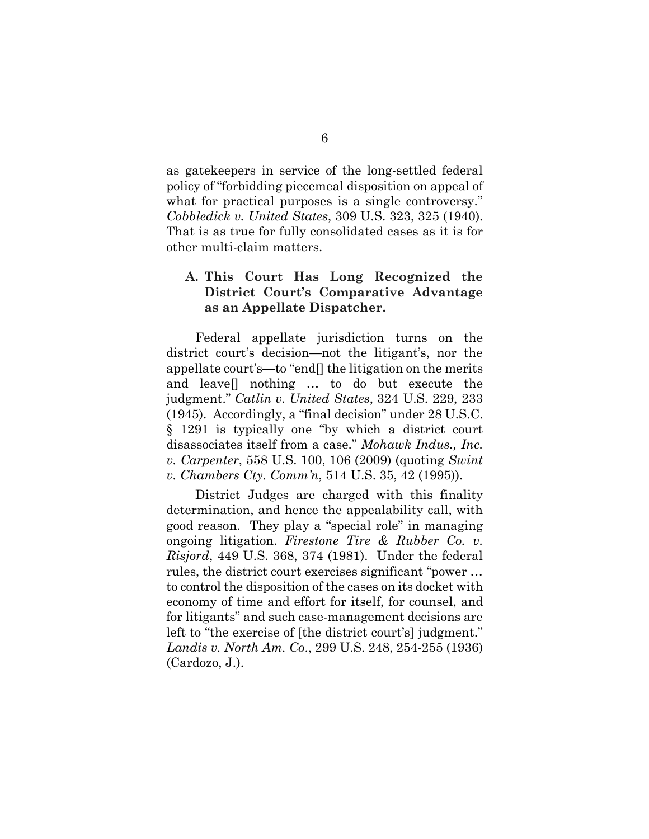as gatekeepers in service of the long-settled federal policy of "forbidding piecemeal disposition on appeal of what for practical purposes is a single controversy." *Cobbledick v. United States*, 309 U.S. 323, 325 (1940). That is as true for fully consolidated cases as it is for other multi-claim matters.

#### <span id="page-13-0"></span>**A. This Court Has Long Recognized the District Court's Comparative Advantage as an Appellate Dispatcher.**

Federal appellate jurisdiction turns on the district court's decision—not the litigant's, nor the appellate court's—to "end[] the litigation on the merits and leave[] nothing … to do but execute the judgment." *Catlin v. United States*[, 324 U.S. 229, 233](https://scholar.google.com/scholar_case?case=9538365866423145105&q=final-judgment+rule&hl=en&as_sdt=4,60) (1945). Accordingly, a "final decision" under 28 U.S.C. § 1291 is typically one "by which a district court disassociates itself from a case." *Mohawk Indus., Inc. v. Carpenter*, 558 U.S. 100, 106 (2009) (quoting *Swint v. Chambers Cty. Comm'n*, 514 U.S. 35, 42 (1995)).

District Judges are charged with this finality determination, and hence the appealability call, with good reason. They play a "special role" in managing ongoing litigation. *Firestone Tire & Rubber Co. v. Risjord*, 449 U.S. 368, 374 (1981). Under the federal rules, the district court exercises significant "power … to control the disposition of the cases on its docket with economy of time and effort for itself, for counsel, and for litigants" and such case-management decisions are left to "the exercise of [the district court's] judgment." *Landis v. North Am. Co*., 299 U.S. 248, 254-255 (1936) (Cardozo, J.).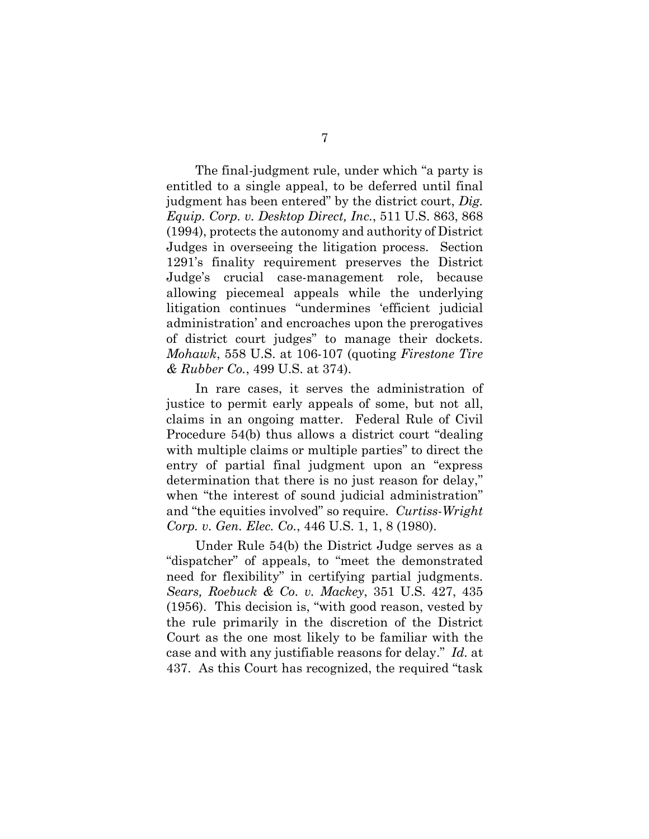The final-judgment rule, under which "a party is entitled to a single appeal, to be deferred until final judgment has been entered" by the district court, *Dig. Equip. Corp. v. Desktop Direct, Inc.*, 511 U.S. 863, 868 (1994), protects the autonomy and authority of District Judges in overseeing the litigation process. Section 1291's finality requirement preserves the District Judge's crucial case-management role, because allowing piecemeal appeals while the underlying litigation continues "undermines 'efficient judicial administration' and encroaches upon the prerogatives of district court judges" to manage their dockets. *Mohawk*, 558 U.S. at 106-107 (quoting *Firestone Tire & Rubber Co.*, 499 U.S. at 374).

In rare cases, it serves the administration of justice to permit early appeals of some, but not all, claims in an ongoing matter. Federal Rule of Civil Procedure 54(b) thus allows a district court "dealing with multiple claims or multiple parties" to direct the entry of partial final judgment upon an "express determination that there is no just reason for delay," when "the interest of sound judicial administration" and "the equities involved" so require. *Curtiss-Wright Corp. v. Gen. Elec. Co.*, 446 U.S. 1, 1, 8 (1980).

Under Rule 54(b) the District Judge serves as a "dispatcher" of appeals, to "meet the demonstrated need for flexibility" in certifying partial judgments. *Sears, Roebuck & Co. v. Mackey*, 351 U.S. 427, 435 (1956). This decision is, "with good reason, vested by the rule primarily in the discretion of the District Court as the one most likely to be familiar with the case and with any justifiable reasons for delay." *Id.* at 437. As this Court has recognized, the required "task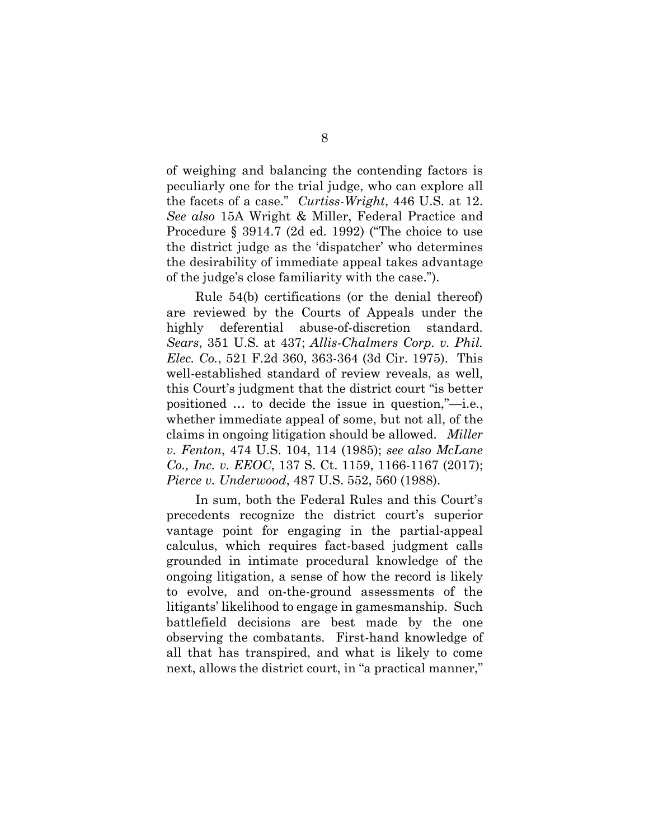of weighing and balancing the contending factors is peculiarly one for the trial judge, who can explore all the facets of a case." *Curtiss-Wright*, 446 U.S. at 12. *See also* 15A Wright & Miller, Federal Practice and Procedure § 3914.7 (2d ed. 1992) ("The choice to use the district judge as the 'dispatcher' who determines the desirability of immediate appeal takes advantage of the judge's close familiarity with the case.").

Rule 54(b) certifications (or the denial thereof) are reviewed by the Courts of Appeals under the highly deferential abuse-of-discretion standard. *Sears*, 351 U.S. at 437; *Allis-Chalmers Corp. v. Phil. Elec. Co.*, 521 F.2d 360, 363-364 (3d Cir. 1975). This well-established standard of review reveals, as well, this Court's judgment that the district court "is better positioned … to decide the issue in question,"—i.e., whether immediate appeal of some, but not all, of the claims in ongoing litigation should be allowed. *Miller v. Fenton*, 474 U.S. 104, 114 (1985); *see also McLane Co., Inc. v. EEOC*, 137 S. Ct. 1159, 1166-1167 (2017); *Pierce v. Underwood*, 487 U.S. 552, 560 (1988).

In sum, both the Federal Rules and this Court's precedents recognize the district court's superior vantage point for engaging in the partial-appeal calculus, which requires fact-based judgment calls grounded in intimate procedural knowledge of the ongoing litigation, a sense of how the record is likely to evolve, and on-the-ground assessments of the litigants' likelihood to engage in gamesmanship. Such battlefield decisions are best made by the one observing the combatants. First-hand knowledge of all that has transpired, and what is likely to come next, allows the district court, in "a practical manner,"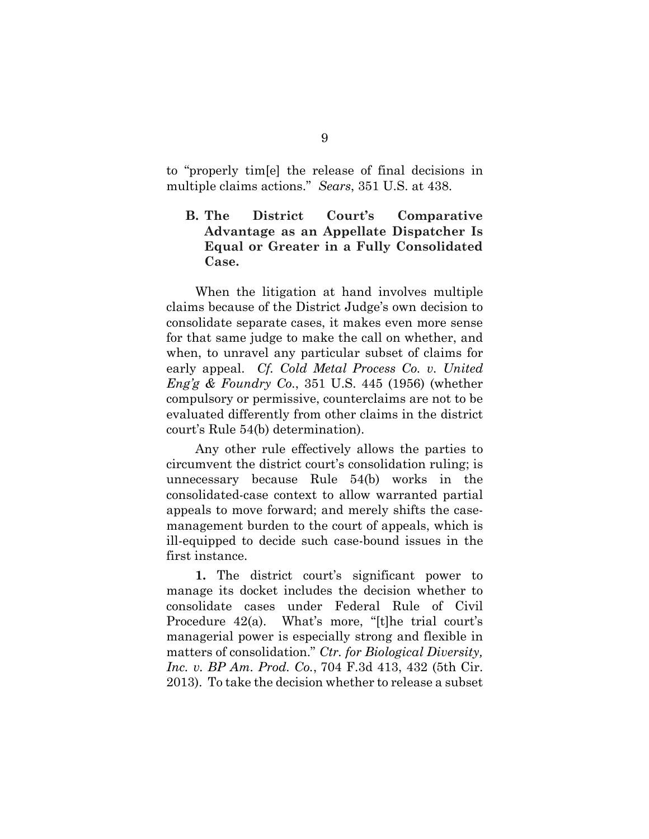to "properly tim[e] the release of final decisions in multiple claims actions." *Sears*, 351 U.S. at 438.

## <span id="page-16-0"></span>**B. The District Court's Comparative Advantage as an Appellate Dispatcher Is Equal or Greater in a Fully Consolidated Case.**

When the litigation at hand involves multiple claims because of the District Judge's own decision to consolidate separate cases, it makes even more sense for that same judge to make the call on whether, and when, to unravel any particular subset of claims for early appeal. *Cf. Cold Metal Process Co. v. United Eng'g & Foundry Co.*, 351 U.S. 445 (1956) (whether compulsory or permissive, counterclaims are not to be evaluated differently from other claims in the district court's Rule 54(b) determination).

Any other rule effectively allows the parties to circumvent the district court's consolidation ruling; is unnecessary because Rule 54(b) works in the consolidated-case context to allow warranted partial appeals to move forward; and merely shifts the casemanagement burden to the court of appeals, which is ill-equipped to decide such case-bound issues in the first instance.

**1.** The district court's significant power to manage its docket includes the decision whether to consolidate cases under Federal Rule of Civil Procedure 42(a). What's more, "[t]he trial court's managerial power is especially strong and flexible in matters of consolidation." *[Ctr. for Biological Diversity,](https://1.next.westlaw.com/Link/Document/FullText?findType=Y&serNum=2029606273&pubNum=0000506&originatingDoc=I0dabb331432e11e4a795ac035416da91&refType=RP&fi=co_pp_sp_506_432&originationContext=document&transitionType=DocumentItem&contextData=(sc.UserEnteredCitation)#co_pp_sp_506_432)  Inc. v. BP Am. Prod. Co.*[, 704 F.3d 413, 432 \(5th Cir.](https://1.next.westlaw.com/Link/Document/FullText?findType=Y&serNum=2029606273&pubNum=0000506&originatingDoc=I0dabb331432e11e4a795ac035416da91&refType=RP&fi=co_pp_sp_506_432&originationContext=document&transitionType=DocumentItem&contextData=(sc.UserEnteredCitation)#co_pp_sp_506_432) [2013\).](https://1.next.westlaw.com/Link/Document/FullText?findType=Y&serNum=2029606273&pubNum=0000506&originatingDoc=I0dabb331432e11e4a795ac035416da91&refType=RP&fi=co_pp_sp_506_432&originationContext=document&transitionType=DocumentItem&contextData=(sc.UserEnteredCitation)#co_pp_sp_506_432) To take the decision whether to release a subset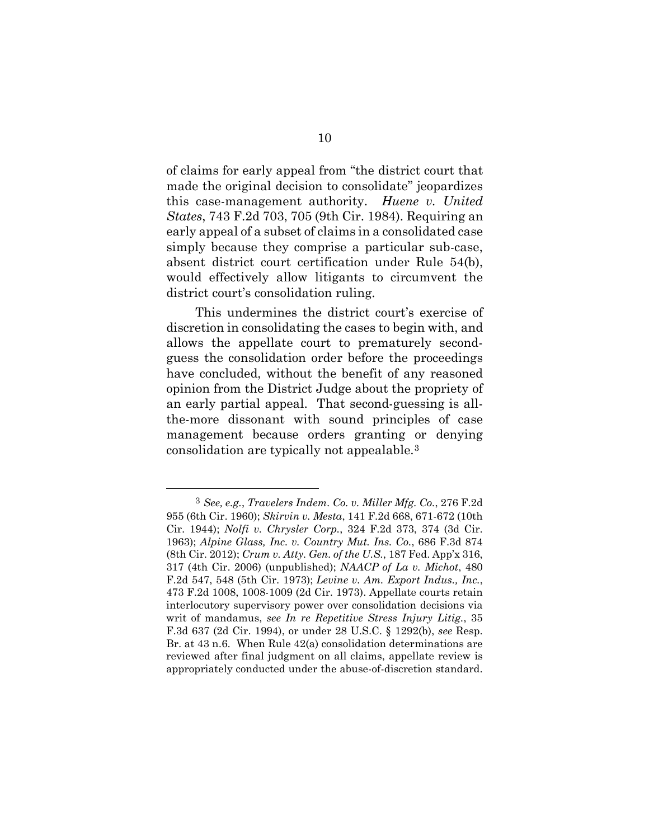of claims for early appeal from "the district court that made the original decision to consolidate" jeopardizes this case-management authority. *Huene v. United States*, 743 F.2d 703, 705 (9th Cir. 1984). Requiring an early appeal of a subset of claims in a consolidated case simply because they comprise a particular sub-case, absent district court certification under Rule 54(b), would effectively allow litigants to circumvent the district court's consolidation ruling.

This undermines the district court's exercise of discretion in consolidating the cases to begin with, and allows the appellate court to prematurely secondguess the consolidation order before the proceedings have concluded, without the benefit of any reasoned opinion from the District Judge about the propriety of an early partial appeal. That second-guessing is allthe-more dissonant with sound principles of case management because orders granting or denying consolidation are typically not appealable.[3](#page-17-0)

<span id="page-17-0"></span> <sup>3</sup> *See, e.g.*, *Travelers Indem. Co. v. Miller Mfg. Co.*, 276 F.2d 955 (6th Cir. 1960); *Skirvin v. Mesta*, 141 F.2d 668, 671-672 (10th Cir. 1944); *Nolfi v. Chrysler Corp.*, 324 F.2d 373, 374 (3d Cir. 1963); *Alpine Glass, Inc. v. Country Mut. Ins. Co.*, 686 F.3d 874 (8th Cir. 2012); *Crum v. Atty. Gen. of the U.S.*, 187 Fed. App'x 316, 317 (4th Cir. 2006) (unpublished); *NAACP of La v. Michot*, 480 F.2d 547, 548 (5th Cir. 1973); *Levine v. Am. Export Indus., Inc.*, 473 F.2d 1008, 1008-1009 (2d Cir. 1973). Appellate courts retain interlocutory supervisory power over consolidation decisions via writ of mandamus, *see In re Repetitive Stress Injury Litig.*, 35 F.3d 637 (2d Cir. 1994), or under 28 U.S.C. § 1292(b), *see* Resp. Br. at 43 n.6. When Rule 42(a) consolidation determinations are reviewed after final judgment on all claims, appellate review is appropriately conducted under the abuse-of-discretion standard.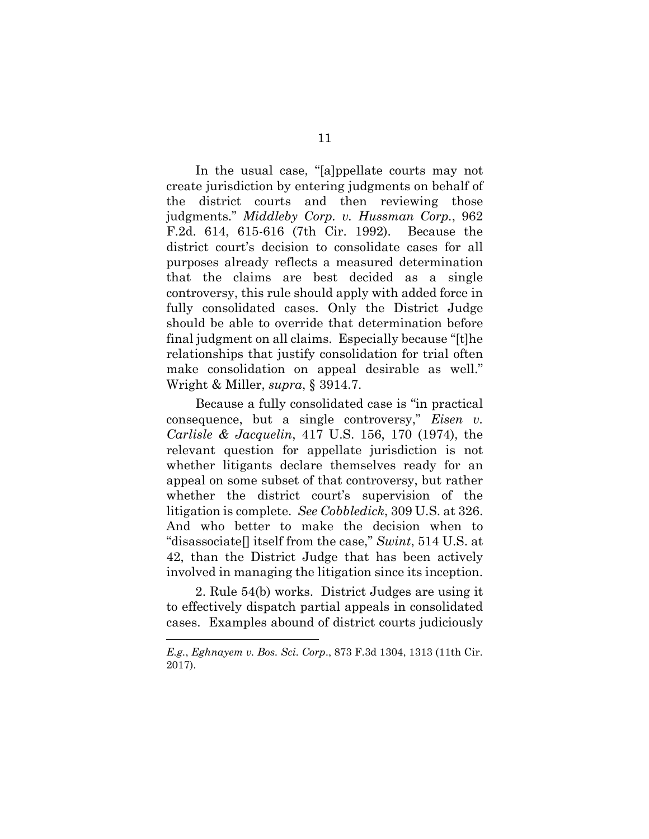In the usual case, "[a]ppellate courts may not create jurisdiction by entering judgments on behalf of the district courts and then reviewing those judgments." *Middleby Corp. v. Hussman Corp.*, 962 F.2d. 614, 615-616 (7th Cir. 1992). Because the district court's decision to consolidate cases for all purposes already reflects a measured determination that the claims are best decided as a single controversy, this rule should apply with added force in fully consolidated cases. Only the District Judge should be able to override that determination before final judgment on all claims. Especially because "[t]he relationships that justify consolidation for trial often make consolidation on appeal desirable as well." Wright & Miller, *supra*, § 3914.7.

Because a fully consolidated case is "in practical consequence, but a single controversy," *Eisen v. Carlisle & Jacquelin*, 417 U.S. 156, 170 (1974), the relevant question for appellate jurisdiction is not whether litigants declare themselves ready for an appeal on some subset of that controversy, but rather whether the district court's supervision of the litigation is complete. *See Cobbledick*, 309 U.S. at 326. And who better to make the decision when to "disassociate[] itself from the case," *Swint*, 514 U.S. at 42, than the District Judge that has been actively involved in managing the litigation since its inception.

2. Rule 54(b) works. District Judges are using it to effectively dispatch partial appeals in consolidated cases. Examples abound of district courts judiciously

<u>.</u>

*E.g.*, *Eghnayem v. Bos. Sci. Corp*., 873 F.3d 1304, 1313 (11th Cir. 2017).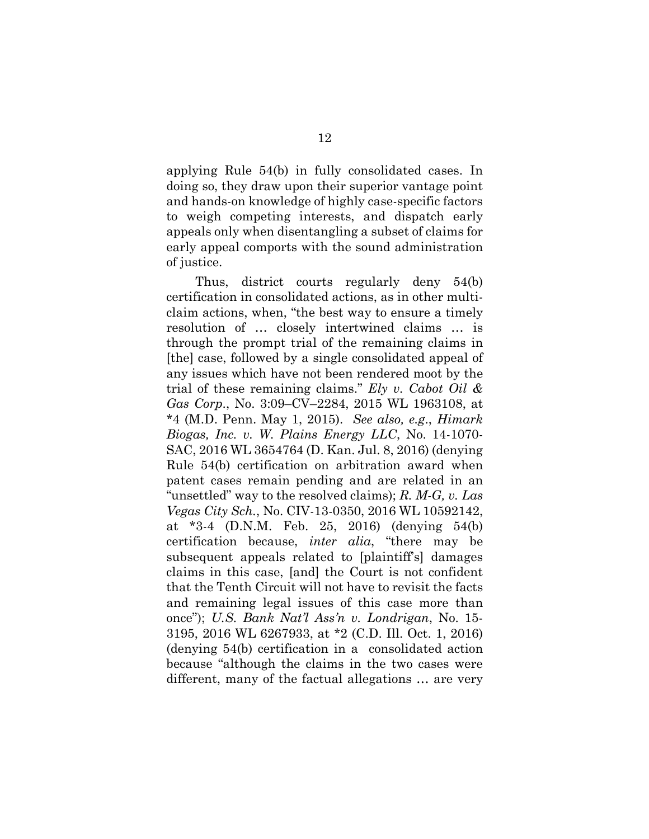applying Rule 54(b) in fully consolidated cases. In doing so, they draw upon their superior vantage point and hands-on knowledge of highly case-specific factors to weigh competing interests, and dispatch early appeals only when disentangling a subset of claims for early appeal comports with the sound administration of justice.

Thus, district courts regularly deny 54(b) certification in consolidated actions, as in other multiclaim actions, when, "the best way to ensure a timely resolution of … closely intertwined claims … is through the prompt trial of the remaining claims in [the] case, followed by a single consolidated appeal of any issues which have not been rendered moot by the trial of these remaining claims." *Ely v. Cabot Oil & Gas Corp*., No. 3:09–CV–2284, 2015 WL 1963108, at \*4 (M.D. Penn. May 1, 2015). *See also, e.g*., *Himark Biogas, Inc. v. W. Plains Energy LLC*, No. 14-1070- SAC, 2016 WL 3654764 (D. Kan. Jul. 8, 2016) (denying Rule 54(b) certification on arbitration award when patent cases remain pending and are related in an "unsettled" way to the resolved claims); *R. M-G, v. Las Vegas City Sch.*, No. CIV-13-0350, 2016 WL 10592142, at \*3-4 (D.N.M. Feb. 25, 2016) (denying 54(b) certification because, *inter alia*, "there may be subsequent appeals related to [plaintiff's] damages claims in this case, [and] the Court is not confident that the Tenth Circuit will not have to revisit the facts and remaining legal issues of this case more than once"); *U.S. Bank Nat'l Ass'n v. Londrigan*, No. 15- 3195, 2016 WL 6267933, at \*2 (C.D. Ill. Oct. 1, 2016) (denying 54(b) certification in a consolidated action because "although the claims in the two cases were different, many of the factual allegations … are very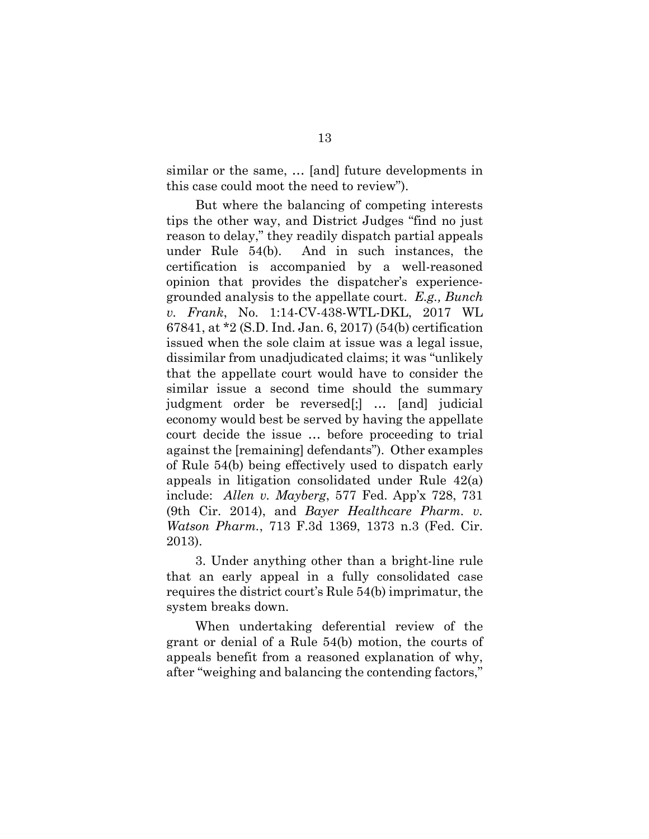similar or the same, … [and] future developments in this case could moot the need to review").

But where the balancing of competing interests tips the other way, and District Judges "find no just reason to delay," they readily dispatch partial appeals under Rule 54(b). And in such instances, the certification is accompanied by a well-reasoned opinion that provides the dispatcher's experiencegrounded analysis to the appellate court. *E.g., Bunch v. Frank*, No. 1:14-CV-438-WTL-DKL, 2017 WL 67841, at \*2 (S.D. Ind. Jan. 6, 2017) (54(b) certification issued when the sole claim at issue was a legal issue, dissimilar from unadjudicated claims; it was "unlikely that the appellate court would have to consider the similar issue a second time should the summary judgment order be reversed[;] … [and] judicial economy would best be served by having the appellate court decide the issue … before proceeding to trial against the [remaining] defendants"). Other examples of Rule 54(b) being effectively used to dispatch early appeals in litigation consolidated under Rule 42(a) include: *Allen v. Mayberg*, 577 Fed. App'x 728, 731 (9th Cir. 2014), and *Bayer Healthcare Pharm. v. Watson Pharm.*, 713 F.3d 1369, 1373 n.3 (Fed. Cir. 2013).

3. Under anything other than a bright-line rule that an early appeal in a fully consolidated case requires the district court's Rule 54(b) imprimatur, the system breaks down.

When undertaking deferential review of the grant or denial of a Rule 54(b) motion, the courts of appeals benefit from a reasoned explanation of why, after "weighing and balancing the contending factors,"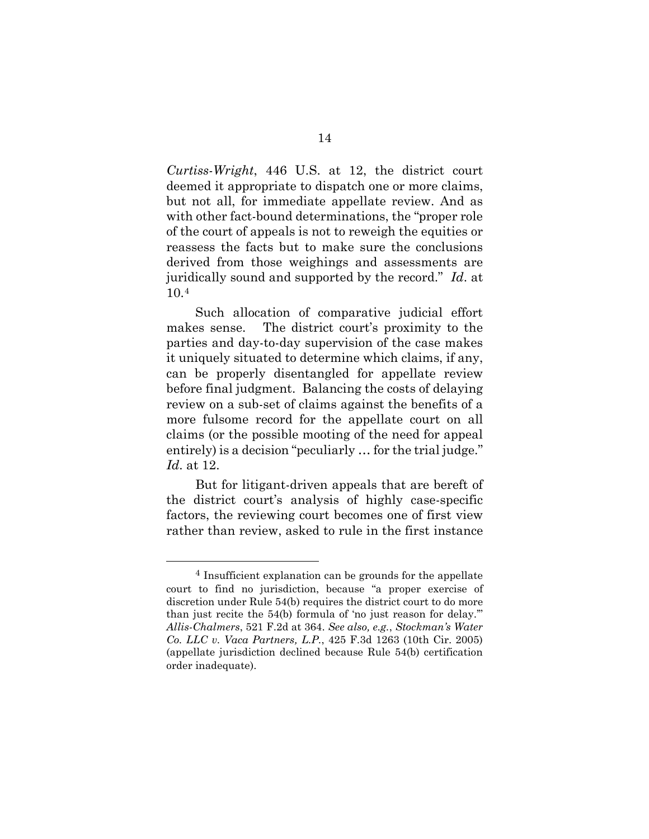*Curtiss-Wright*, 446 U.S. at 12, the district court deemed it appropriate to dispatch one or more claims, but not all, for immediate appellate review. And as with other fact-bound determinations, the "proper role of the court of appeals is not to reweigh the equities or reassess the facts but to make sure the conclusions derived from those weighings and assessments are juridically sound and supported by the record." *Id*. at 10.[4](#page-21-0) 

Such allocation of comparative judicial effort makes sense. The district court's proximity to the parties and day-to-day supervision of the case makes it uniquely situated to determine which claims, if any, can be properly disentangled for appellate review before final judgment. Balancing the costs of delaying review on a sub-set of claims against the benefits of a more fulsome record for the appellate court on all claims (or the possible mooting of the need for appeal entirely) is a decision "peculiarly … for the trial judge." *Id*. at 12.

But for litigant-driven appeals that are bereft of the district court's analysis of highly case-specific factors, the reviewing court becomes one of first view rather than review, asked to rule in the first instance

<span id="page-21-0"></span> <sup>4</sup> Insufficient explanation can be grounds for the appellate court to find no jurisdiction, because "a proper exercise of discretion under Rule 54(b) requires the district court to do more than just recite the 54(b) formula of 'no just reason for delay.'" *Allis-Chalmers*, 521 F.2d at 364. *See also, e.g.*, *Stockman's Water Co. LLC v. Vaca Partners, L.P.*, 425 F.3d 1263 (10th Cir. 2005) (appellate jurisdiction declined because Rule 54(b) certification order inadequate).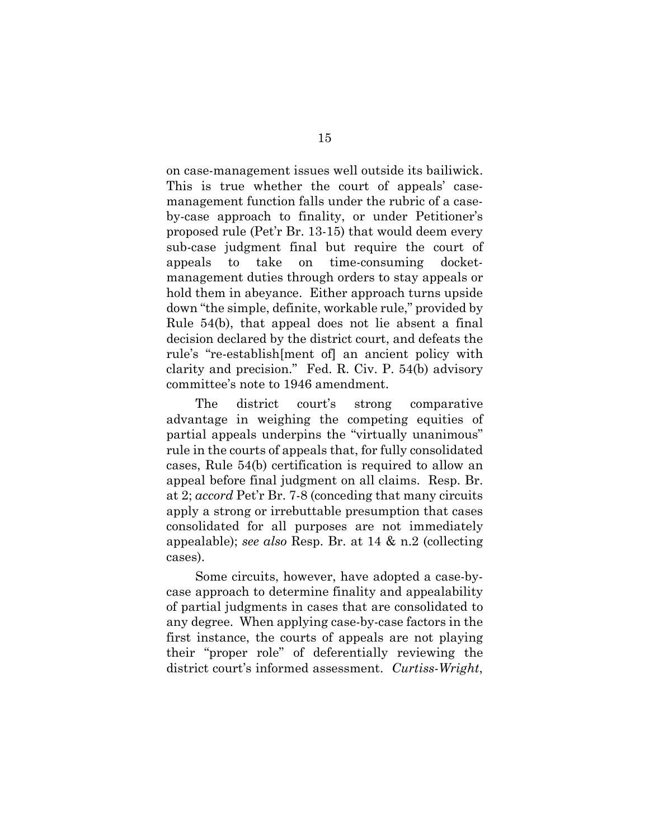on case-management issues well outside its bailiwick. This is true whether the court of appeals' casemanagement function falls under the rubric of a caseby-case approach to finality, or under Petitioner's proposed rule (Pet'r Br. 13-15) that would deem every sub-case judgment final but require the court of appeals to take on time-consuming docketmanagement duties through orders to stay appeals or hold them in abeyance. Either approach turns upside down "the simple, definite, workable rule," provided by Rule 54(b), that appeal does not lie absent a final decision declared by the district court, and defeats the rule's "re-establish[ment of] an ancient policy with clarity and precision." Fed. R. Civ. P. 54(b) advisory committee's note to 1946 amendment.

The district court's strong comparative advantage in weighing the competing equities of partial appeals underpins the "virtually unanimous" rule in the courts of appeals that, for fully consolidated cases, Rule 54(b) certification is required to allow an appeal before final judgment on all claims. Resp. Br. at 2; *accord* Pet'r Br. 7-8 (conceding that many circuits apply a strong or irrebuttable presumption that cases consolidated for all purposes are not immediately appealable); *see also* Resp. Br. at 14 & n.2 (collecting cases).

Some circuits, however, have adopted a case-bycase approach to determine finality and appealability of partial judgments in cases that are consolidated to any degree. When applying case-by-case factors in the first instance, the courts of appeals are not playing their "proper role" of deferentially reviewing the district court's informed assessment. *Curtiss-Wright*,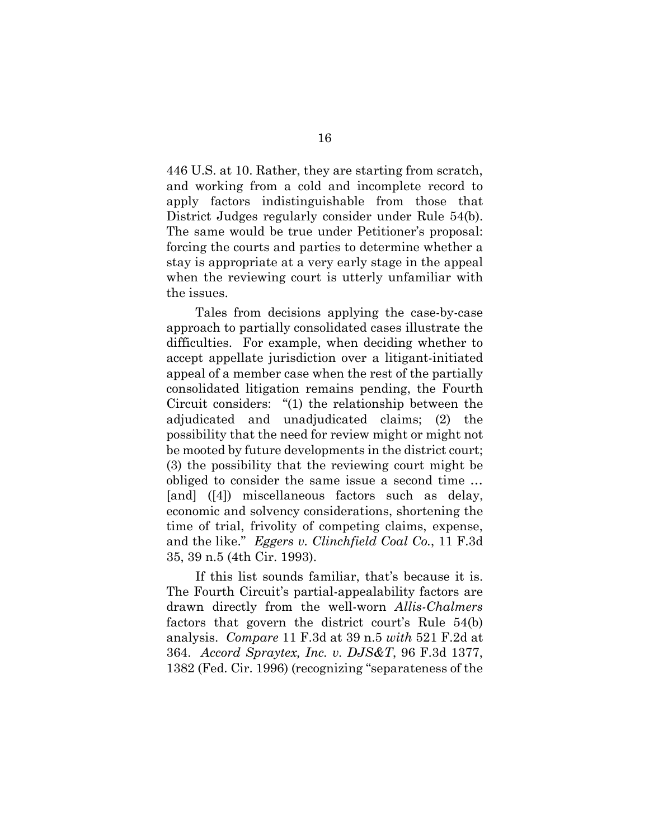446 U.S. at 10. Rather, they are starting from scratch, and working from a cold and incomplete record to apply factors indistinguishable from those that District Judges regularly consider under Rule 54(b). The same would be true under Petitioner's proposal: forcing the courts and parties to determine whether a stay is appropriate at a very early stage in the appeal when the reviewing court is utterly unfamiliar with the issues.

Tales from decisions applying the case-by-case approach to partially consolidated cases illustrate the difficulties. For example, when deciding whether to accept appellate jurisdiction over a litigant-initiated appeal of a member case when the rest of the partially consolidated litigation remains pending, the Fourth Circuit considers: "(1) the relationship between the adjudicated and unadjudicated claims; (2) the possibility that the need for review might or might not be mooted by future developments in the district court; (3) the possibility that the reviewing court might be obliged to consider the same issue a second time … [and] ([4]) miscellaneous factors such as delay, economic and solvency considerations, shortening the time of trial, frivolity of competing claims, expense, and the like." *Eggers v. Clinchfield Coal Co.*, 11 F.3d 35, 39 n.5 (4th Cir. 1993).

If this list sounds familiar, that's because it is. The Fourth Circuit's partial-appealability factors are drawn directly from the well-worn *Allis-Chalmers* factors that govern the district court's Rule 54(b) analysis. *Compare* 11 F.3d at 39 n.5 *with* 521 F.2d at 364. *Accord Spraytex, Inc. v. DJS&T*, 96 F.3d 1377, 1382 (Fed. Cir. 1996) (recognizing "separateness of the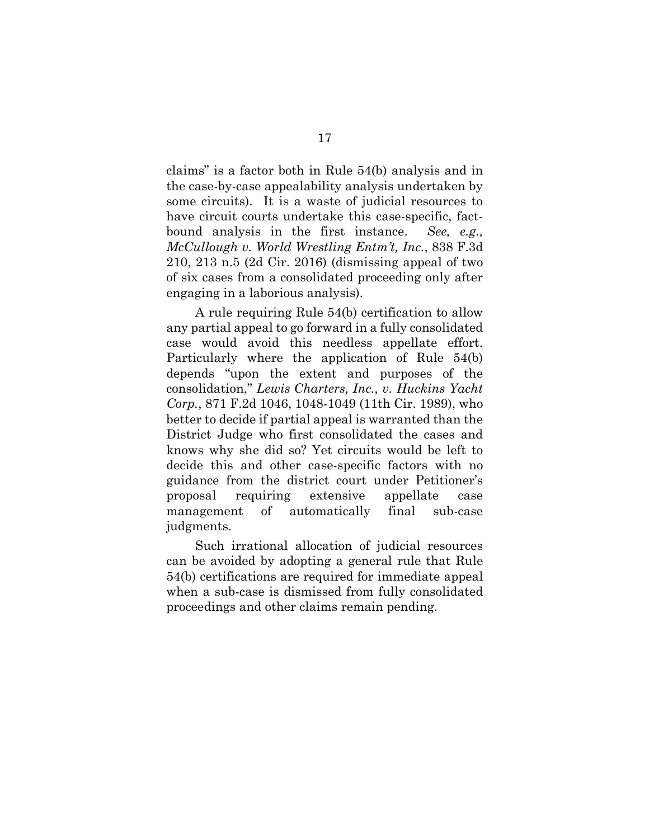claims" is a factor both in Rule 54(b) analysis and in the case-by-case appealability analysis undertaken by some circuits). It is a waste of judicial resources to have circuit courts undertake this case-specific, factbound analysis in the first instance. *See, e.g., McCullough v. World Wrestling Entm't, Inc.*, 838 F.3d 210, 213 n.5 (2d Cir. 2016) (dismissing appeal of two of six cases from a consolidated proceeding only after engaging in a laborious analysis).

A rule requiring Rule 54(b) certification to allow any partial appeal to go forward in a fully consolidated case would avoid this needless appellate effort. Particularly where the application of Rule 54(b) depends "upon the extent and purposes of the consolidation," *Lewis Charters, Inc., v. Huckins Yacht Corp.*, 871 F.2d 1046, 1048-1049 (11th Cir. 1989), who better to decide if partial appeal is warranted than the District Judge who first consolidated the cases and knows why she did so? Yet circuits would be left to decide this and other case-specific factors with no guidance from the district court under Petitioner's proposal requiring extensive appellate case management of automatically final sub-case judgments.

Such irrational allocation of judicial resources can be avoided by adopting a general rule that Rule 54(b) certifications are required for immediate appeal when a sub-case is dismissed from fully consolidated proceedings and other claims remain pending.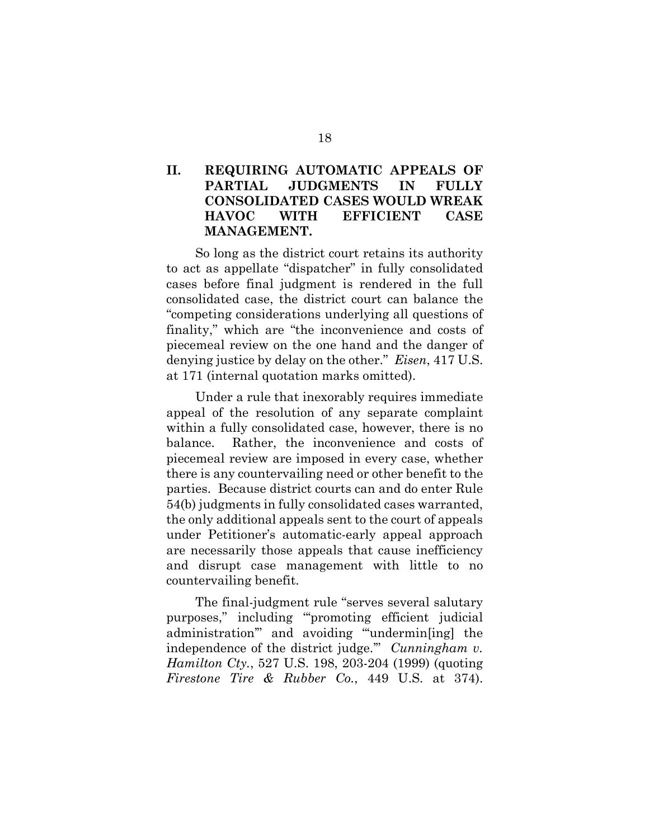## <span id="page-25-0"></span>**II. REQUIRING AUTOMATIC APPEALS OF PARTIAL JUDGMENTS IN FULLY CONSOLIDATED CASES WOULD WREAK HAVOC WITH EFFICIENT CASE MANAGEMENT.**

So long as the district court retains its authority to act as appellate "dispatcher" in fully consolidated cases before final judgment is rendered in the full consolidated case, the district court can balance the "competing considerations underlying all questions of finality," which are "the inconvenience and costs of piecemeal review on the one hand and the danger of denying justice by delay on the other." *Eisen*, 417 U.S. at 171 (internal quotation marks omitted).

Under a rule that inexorably requires immediate appeal of the resolution of any separate complaint within a fully consolidated case, however, there is no balance. Rather, the inconvenience and costs of piecemeal review are imposed in every case, whether there is any countervailing need or other benefit to the parties. Because district courts can and do enter Rule 54(b) judgments in fully consolidated cases warranted, the only additional appeals sent to the court of appeals under Petitioner's automatic-early appeal approach are necessarily those appeals that cause inefficiency and disrupt case management with little to no countervailing benefit.

The final-judgment rule "serves several salutary purposes," including "'promoting efficient judicial administration'" and avoiding "'undermin[ing] the independence of the district judge.'" *Cunningham v. Hamilton Cty.*, 527 U.S. 198, 203-204 (1999) (quoting *Firestone Tire & Rubber Co.*, 449 U.S. at 374).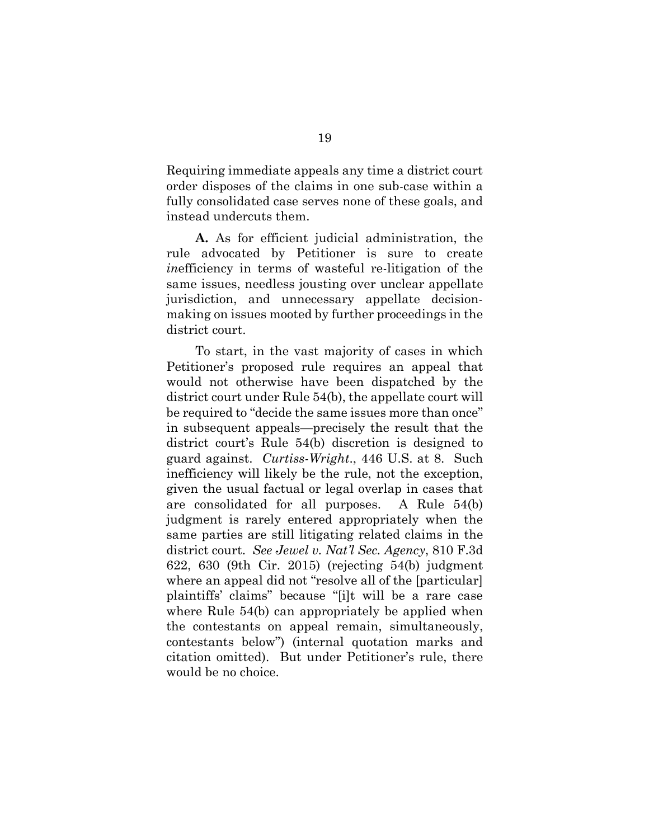Requiring immediate appeals any time a district court order disposes of the claims in one sub-case within a fully consolidated case serves none of these goals, and instead undercuts them.

**A.** As for efficient judicial administration, the rule advocated by Petitioner is sure to create *in*efficiency in terms of wasteful re-litigation of the same issues, needless jousting over unclear appellate jurisdiction, and unnecessary appellate decisionmaking on issues mooted by further proceedings in the district court.

To start, in the vast majority of cases in which Petitioner's proposed rule requires an appeal that would not otherwise have been dispatched by the district court under Rule 54(b), the appellate court will be required to "decide the same issues more than once" in subsequent appeals—precisely the result that the district court's Rule 54(b) discretion is designed to guard against. *Curtiss-Wright*., 446 U.S. at 8. Such inefficiency will likely be the rule, not the exception, given the usual factual or legal overlap in cases that are consolidated for all purposes. A Rule 54(b) judgment is rarely entered appropriately when the same parties are still litigating related claims in the district court. *See Jewel v. Nat'l Sec. Agency*, 810 F.3d 622, 630 (9th Cir. 2015) (rejecting 54(b) judgment where an appeal did not "resolve all of the [particular] plaintiffs' claims" because "[i]t will be a rare case where Rule 54(b) can appropriately be applied when the contestants on appeal remain, simultaneously, contestants below") (internal quotation marks and citation omitted). But under Petitioner's rule, there would be no choice.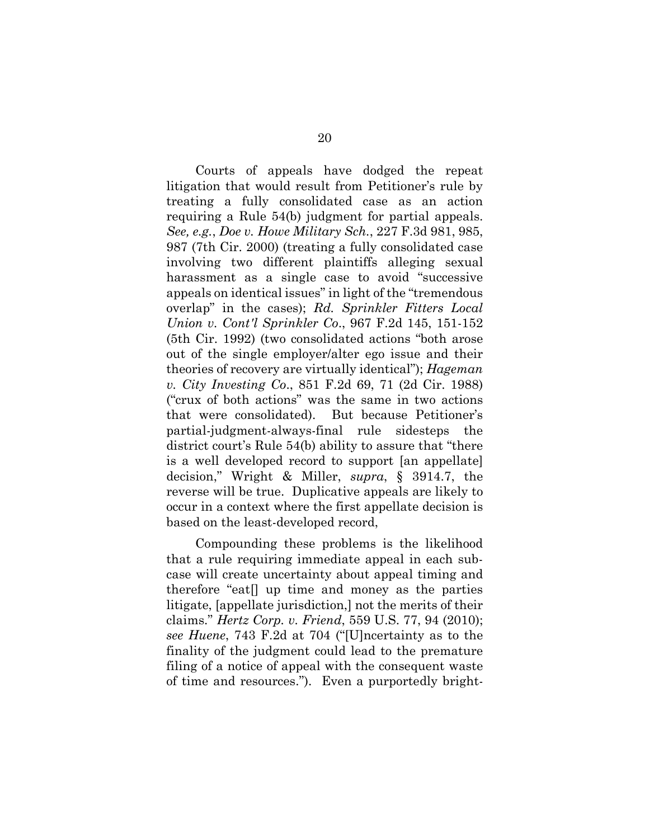Courts of appeals have dodged the repeat litigation that would result from Petitioner's rule by treating a fully consolidated case as an action requiring a Rule 54(b) judgment for partial appeals. *See, e.g.*, *Doe v. Howe Military Sch.*, 227 F.3d 981, 985, 987 (7th Cir. 2000) (treating a fully consolidated case involving two different plaintiffs alleging sexual harassment as a single case to avoid "successive appeals on identical issues" in light of the "tremendous overlap" in the cases); *Rd. Sprinkler Fitters Local Union v. Cont'l Sprinkler Co*., 967 F.2d 145, 151-152 (5th Cir. 1992) (two consolidated actions "both arose out of the single employer/alter ego issue and their theories of recovery are virtually identical"); *Hageman v. City Investing Co*., 851 F.2d 69, 71 (2d Cir. 1988) ("crux of both actions" was the same in two actions that were consolidated). But because Petitioner's partial-judgment-always-final rule sidesteps the district court's Rule 54(b) ability to assure that "there is a well developed record to support [an appellate] decision," Wright & Miller, *supra*, § 3914.7, the reverse will be true. Duplicative appeals are likely to occur in a context where the first appellate decision is based on the least-developed record,

Compounding these problems is the likelihood that a rule requiring immediate appeal in each subcase will create uncertainty about appeal timing and therefore "eat[] up time and money as the parties litigate, [appellate jurisdiction,] not the merits of their claims." *Hertz Corp. v. Friend*, 559 U.S. 77, 94 (2010); *see Huene*, 743 F.2d at 704 ("[U]ncertainty as to the finality of the judgment could lead to the premature filing of a notice of appeal with the consequent waste of time and resources."). Even a purportedly bright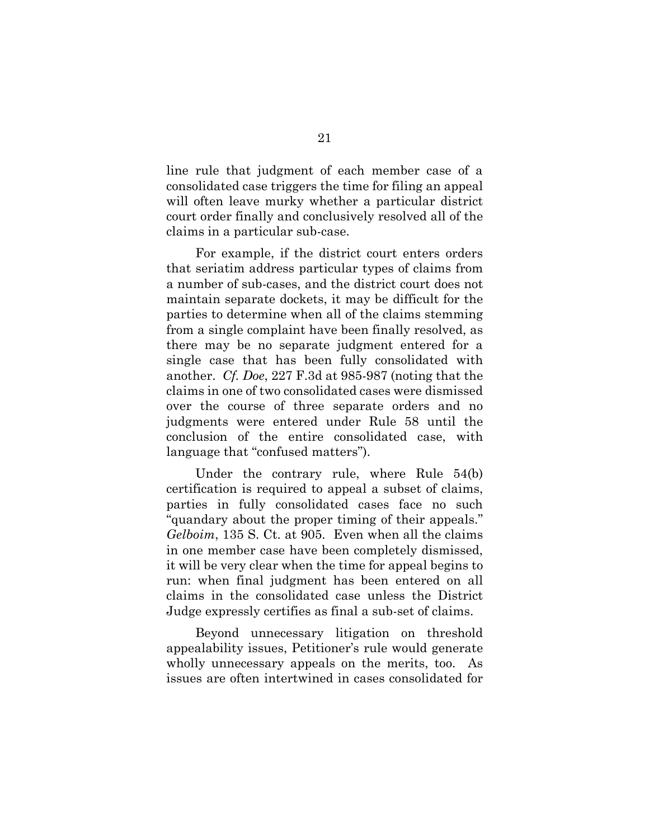line rule that judgment of each member case of a consolidated case triggers the time for filing an appeal will often leave murky whether a particular district court order finally and conclusively resolved all of the claims in a particular sub-case.

For example, if the district court enters orders that seriatim address particular types of claims from a number of sub-cases, and the district court does not maintain separate dockets, it may be difficult for the parties to determine when all of the claims stemming from a single complaint have been finally resolved, as there may be no separate judgment entered for a single case that has been fully consolidated with another. *Cf. Doe*, 227 F.3d at 985-987 (noting that the claims in one of two consolidated cases were dismissed over the course of three separate orders and no judgments were entered under Rule 58 until the conclusion of the entire consolidated case, with language that "confused matters").

Under the contrary rule, where Rule 54(b) certification is required to appeal a subset of claims, parties in fully consolidated cases face no such "quandary about the proper timing of their appeals." *Gelboim*, 135 S. Ct. at 905. Even when all the claims in one member case have been completely dismissed, it will be very clear when the time for appeal begins to run: when final judgment has been entered on all claims in the consolidated case unless the District Judge expressly certifies as final a sub-set of claims.

Beyond unnecessary litigation on threshold appealability issues, Petitioner's rule would generate wholly unnecessary appeals on the merits, too. As issues are often intertwined in cases consolidated for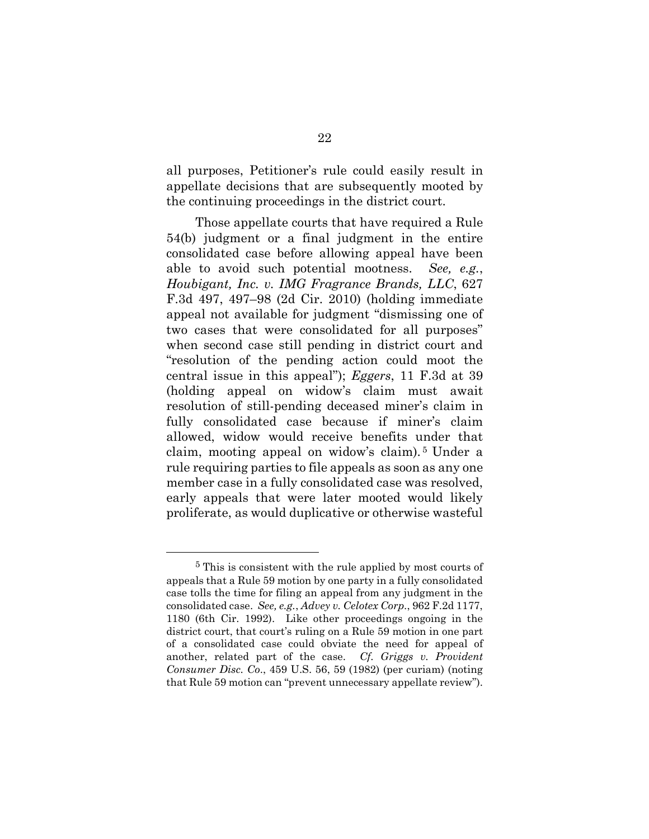all purposes, Petitioner's rule could easily result in appellate decisions that are subsequently mooted by the continuing proceedings in the district court.

Those appellate courts that have required a Rule 54(b) judgment or a final judgment in the entire consolidated case before allowing appeal have been able to avoid such potential mootness. *See, e.g.*, *Houbigant, Inc. v. IMG Fragrance Brands, LLC*, 627 F.3d 497, 497–98 (2d Cir. 2010) (holding immediate appeal not available for judgment "dismissing one of two cases that were consolidated for all purposes" when second case still pending in district court and "resolution of the pending action could moot the central issue in this appeal"); *Eggers*, 11 F.3d at 39 (holding appeal on widow's claim must await resolution of still-pending deceased miner's claim in fully consolidated case because if miner's claim allowed, widow would receive benefits under that claim, mooting appeal on widow's claim). [5](#page-29-0) Under a rule requiring parties to file appeals as soon as any one member case in a fully consolidated case was resolved, early appeals that were later mooted would likely proliferate, as would duplicative or otherwise wasteful

<span id="page-29-0"></span> <sup>5</sup> This is consistent with the rule applied by most courts of appeals that a Rule 59 motion by one party in a fully consolidated case tolls the time for filing an appeal from any judgment in the consolidated case. *See, e.g.*, *Advey v. Celotex Corp.*, 962 F.2d 1177, 1180 (6th Cir. 1992). Like other proceedings ongoing in the district court, that court's ruling on a Rule 59 motion in one part of a consolidated case could obviate the need for appeal of another, related part of the case. *Cf. Griggs v. Provident Consumer Disc. Co*., 459 U.S. 56, 59 (1982) (per curiam) (noting that Rule 59 motion can "prevent unnecessary appellate review").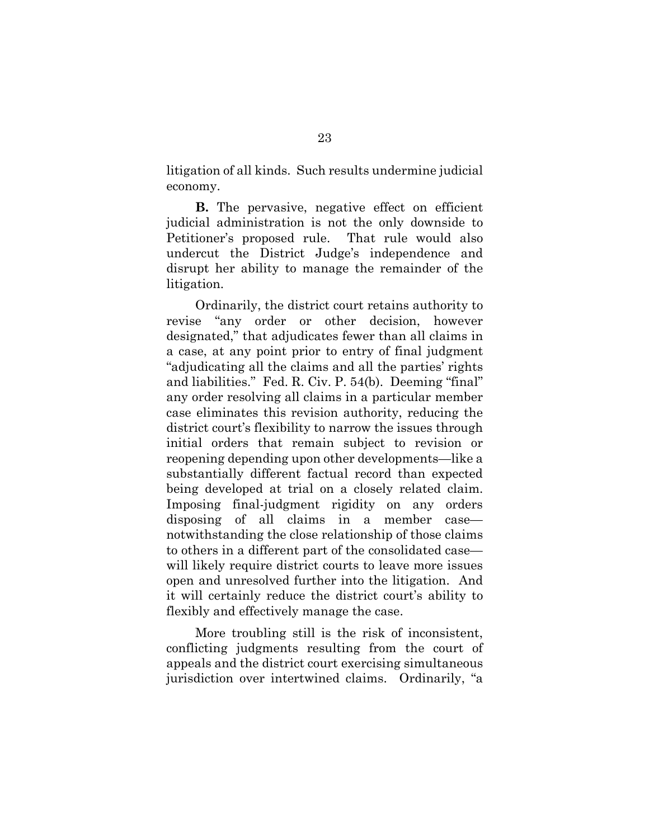litigation of all kinds. Such results undermine judicial economy.

**B.** The pervasive, negative effect on efficient judicial administration is not the only downside to Petitioner's proposed rule. That rule would also undercut the District Judge's independence and disrupt her ability to manage the remainder of the litigation.

Ordinarily, the district court retains authority to revise "any order or other decision, however designated," that adjudicates fewer than all claims in a case, at any point prior to entry of final judgment "adjudicating all the claims and all the parties' rights and liabilities." Fed. R. Civ. P. 54(b). Deeming "final" any order resolving all claims in a particular member case eliminates this revision authority, reducing the district court's flexibility to narrow the issues through initial orders that remain subject to revision or reopening depending upon other developments—like a substantially different factual record than expected being developed at trial on a closely related claim. Imposing final-judgment rigidity on any orders disposing of all claims in a member case notwithstanding the close relationship of those claims to others in a different part of the consolidated case will likely require district courts to leave more issues open and unresolved further into the litigation. And it will certainly reduce the district court's ability to flexibly and effectively manage the case.

More troubling still is the risk of inconsistent, conflicting judgments resulting from the court of appeals and the district court exercising simultaneous jurisdiction over intertwined claims. Ordinarily, "a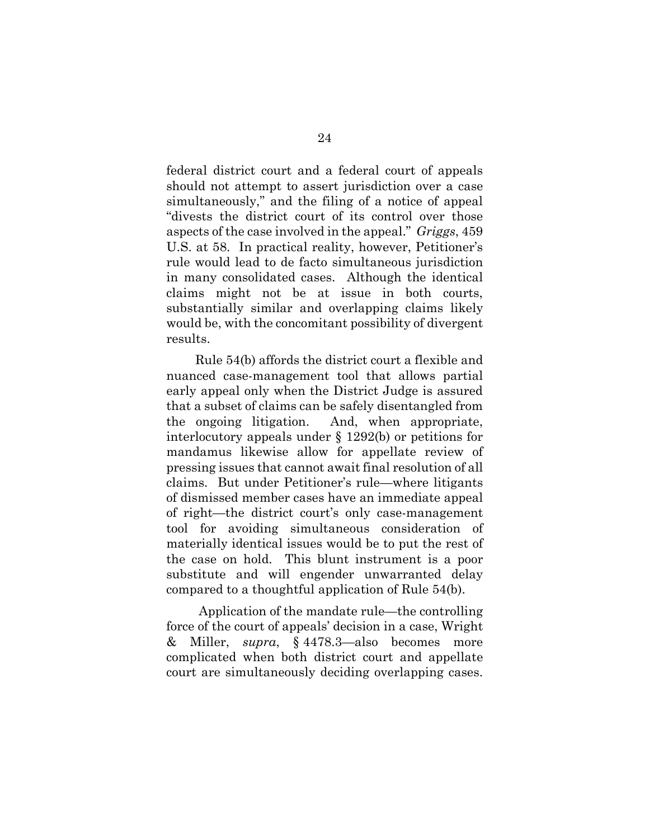federal district court and a federal court of appeals should not attempt to assert jurisdiction over a case simultaneously," and the filing of a notice of appeal "divests the district court of its control over those aspects of the case involved in the appeal." *Griggs*, 459 U.S. at 58. In practical reality, however, Petitioner's rule would lead to de facto simultaneous jurisdiction in many consolidated cases. Although the identical claims might not be at issue in both courts, substantially similar and overlapping claims likely would be, with the concomitant possibility of divergent results.

Rule 54(b) affords the district court a flexible and nuanced case-management tool that allows partial early appeal only when the District Judge is assured that a subset of claims can be safely disentangled from the ongoing litigation. And, when appropriate, interlocutory appeals under § 1292(b) or petitions for mandamus likewise allow for appellate review of pressing issues that cannot await final resolution of all claims. But under Petitioner's rule—where litigants of dismissed member cases have an immediate appeal of right—the district court's only case-management tool for avoiding simultaneous consideration of materially identical issues would be to put the rest of the case on hold. This blunt instrument is a poor substitute and will engender unwarranted delay compared to a thoughtful application of Rule 54(b).

 Application of the mandate rule—the controlling force of the court of appeals' decision in a case, Wright & Miller, *supra*, § 4478.3—also becomes more complicated when both district court and appellate court are simultaneously deciding overlapping cases.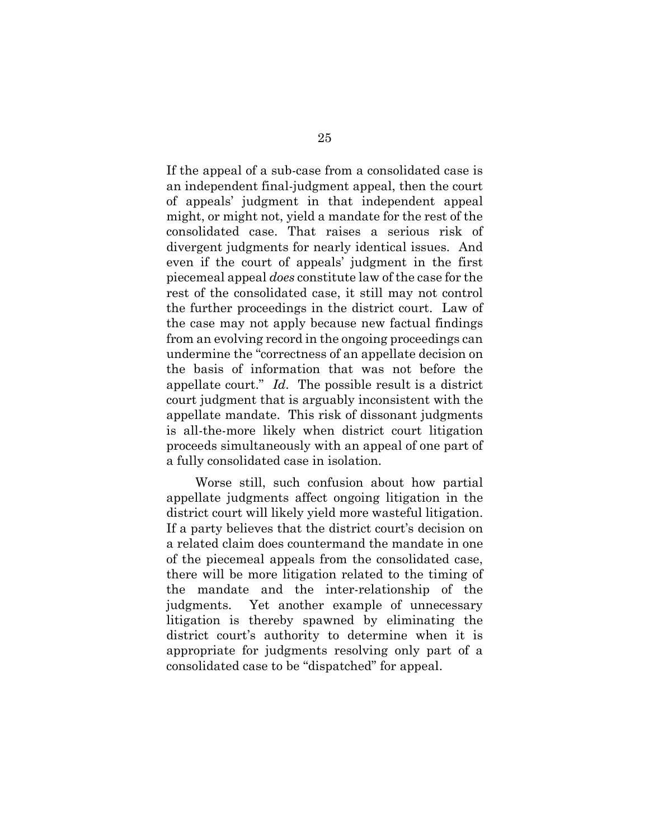If the appeal of a sub-case from a consolidated case is an independent final-judgment appeal, then the court of appeals' judgment in that independent appeal might, or might not, yield a mandate for the rest of the consolidated case. That raises a serious risk of divergent judgments for nearly identical issues. And even if the court of appeals' judgment in the first piecemeal appeal *does* constitute law of the case for the rest of the consolidated case, it still may not control the further proceedings in the district court. Law of the case may not apply because new factual findings from an evolving record in the ongoing proceedings can undermine the "correctness of an appellate decision on the basis of information that was not before the appellate court." *Id*. The possible result is a district court judgment that is arguably inconsistent with the appellate mandate. This risk of dissonant judgments is all-the-more likely when district court litigation proceeds simultaneously with an appeal of one part of a fully consolidated case in isolation.

Worse still, such confusion about how partial appellate judgments affect ongoing litigation in the district court will likely yield more wasteful litigation. If a party believes that the district court's decision on a related claim does countermand the mandate in one of the piecemeal appeals from the consolidated case, there will be more litigation related to the timing of the mandate and the inter-relationship of the judgments. Yet another example of unnecessary litigation is thereby spawned by eliminating the district court's authority to determine when it is appropriate for judgments resolving only part of a consolidated case to be "dispatched" for appeal.